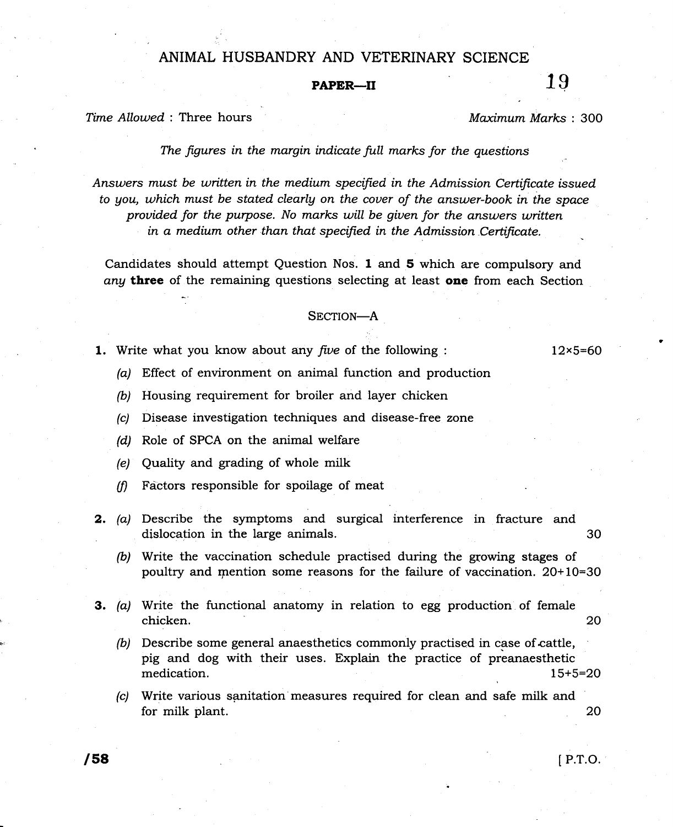## ANIMAL HUSBANDRY AND VETERINARY SCIENCE

## PAPER—II  $19$

Time Allowed : Three hours and the material material material materials and material materials of Maximum Marks : 300

The figures in the margin indicate full marks for the questions

Answers must be written in the medium specified in the Admission Certificate issued to gou, which must be stated clearlg on the couer of the answer-book in the space provided for the purpose. No marks will be given for the answers written in a medium other than that specified in the Admission Certificate.

Candidates should attempt Question Nos. 1 and 5 which are compulsory and any three of the remaining questions selecting at least one from each Section

## SECTION-A

1. Write what you know about any five of the following :

12x5=60

- (a) Effect of environment on animal function and production
- (b) Housing requirement for broiler and layer chicken
- (c) Disease investigation techniques and disease-free zone
- (d) Role of SPCA on the animal welfare
- (e) Qudity and grading of whole milk
- $(f)$  Factors responsible for spoilage of meat
- **2.** (a) Describe the symptoms and surgical interference in fracture and dislocation in the large animals. 30
	- (b) Write the vaccination schedule practised during the growing stages of poultry and mention some reasons for the failure of vaccination.  $20+10=30$
- **3.** (a) Write the functional anatomy in relation to egg production of female chicken. 20
	- (b) Describe some general anaesthetics commonly practised in case of cattle, pig and dog with their uses. Explain the practice of preanaesthetic medication. 15+5=2O
	- (c) Write various sanitation measures required for clean and safe milk and for milk plant. 20